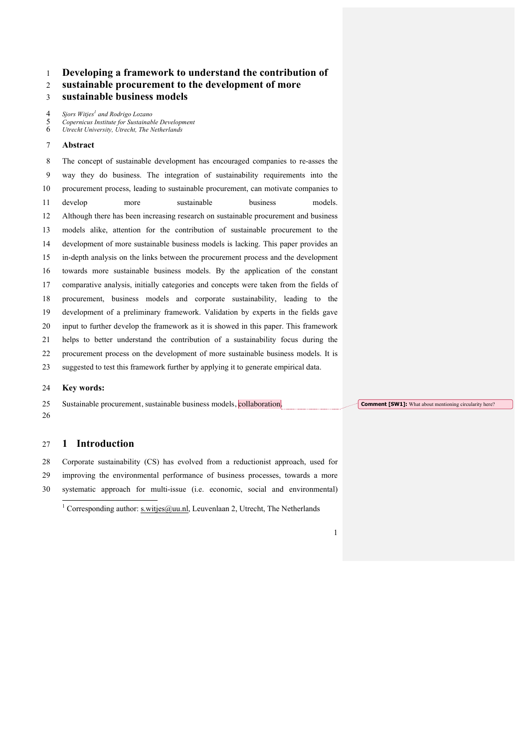# **Developing a framework to understand the contribution of**

# **sustainable procurement to the development of more**

# **sustainable business models**

*Sjors Witjes<sup>1</sup> and Rodrigo Lozano*

*Copernicus Institute for Sustainable Development*

*Utrecht University, Utrecht, The Netherlands*

## **Abstract**

 The concept of sustainable development has encouraged companies to re-asses the way they do business. The integration of sustainability requirements into the procurement process, leading to sustainable procurement, can motivate companies to 11 develop more sustainable business models. Although there has been increasing research on sustainable procurement and business models alike, attention for the contribution of sustainable procurement to the development of more sustainable business models is lacking. This paper provides an in-depth analysis on the links between the procurement process and the development towards more sustainable business models. By the application of the constant comparative analysis, initially categories and concepts were taken from the fields of procurement, business models and corporate sustainability, leading to the development of a preliminary framework. Validation by experts in the fields gave input to further develop the framework as it is showed in this paper. This framework helps to better understand the contribution of a sustainability focus during the procurement process on the development of more sustainable business models. It is suggested to test this framework further by applying it to generate empirical data.

## **Key words:**

25 Sustainable procurement, sustainable business models, collaboration. 

## **1 Introduction**

 Corporate sustainability (CS) has evolved from a reductionist approach, used for improving the environmental performance of business processes, towards a more systematic approach for multi-issue (i.e. economic, social and environmental)

<sup>&</sup>lt;sup>1</sup> Corresponding author: s.witjes@uu.nl, Leuvenlaan 2, Utrecht, The Netherlands



**Comment [SW1]:** What about mentioning circularity here?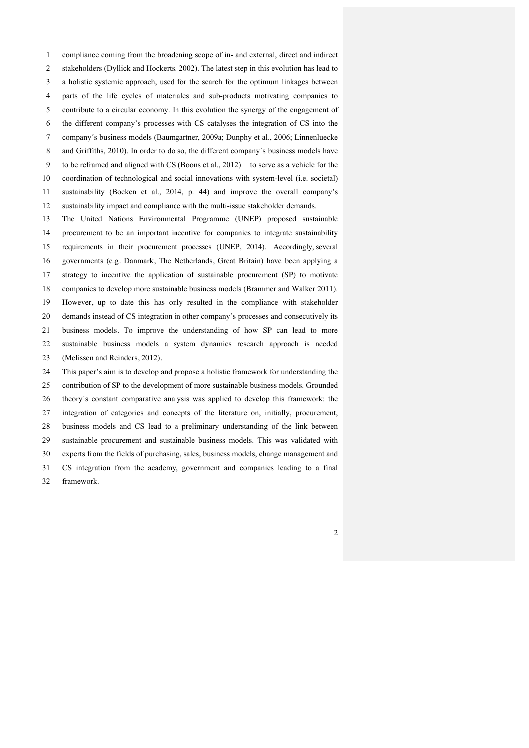compliance coming from the broadening scope of in- and external, direct and indirect stakeholders (Dyllick and Hockerts, 2002). The latest step in this evolution has lead to a holistic systemic approach, used for the search for the optimum linkages between parts of the life cycles of materiales and sub-products motivating companies to contribute to a circular economy. In this evolution the synergy of the engagement of the different company's processes with CS catalyses the integration of CS into the company´s business models (Baumgartner, 2009a; Dunphy et al., 2006; Linnenluecke and Griffiths, 2010). In order to do so, the different company´s business models have to be reframed and aligned with CS (Boons et al., 2012) to serve as a vehicle for the coordination of technological and social innovations with system-level (i.e. societal) sustainability (Bocken et al., 2014, p. 44) and improve the overall company's sustainability impact and compliance with the multi-issue stakeholder demands.

 The United Nations Environmental Programme (UNEP) proposed sustainable procurement to be an important incentive for companies to integrate sustainability requirements in their procurement processes (UNEP, 2014). Accordingly, several governments (e.g. Danmark, The Netherlands, Great Britain) have been applying a strategy to incentive the application of sustainable procurement (SP) to motivate companies to develop more sustainable business models (Brammer and Walker 2011). However, up to date this has only resulted in the compliance with stakeholder demands instead of CS integration in other company's processes and consecutively its business models. To improve the understanding of how SP can lead to more sustainable business models a system dynamics research approach is needed (Melissen and Reinders, 2012). This paper's aim is to develop and propose a holistic framework for understanding the

 contribution of SP to the development of more sustainable business models. Grounded theory´s constant comparative analysis was applied to develop this framework: the integration of categories and concepts of the literature on, initially, procurement, business models and CS lead to a preliminary understanding of the link between sustainable procurement and sustainable business models. This was validated with experts from the fields of purchasing, sales, business models, change management and CS integration from the academy, government and companies leading to a final framework.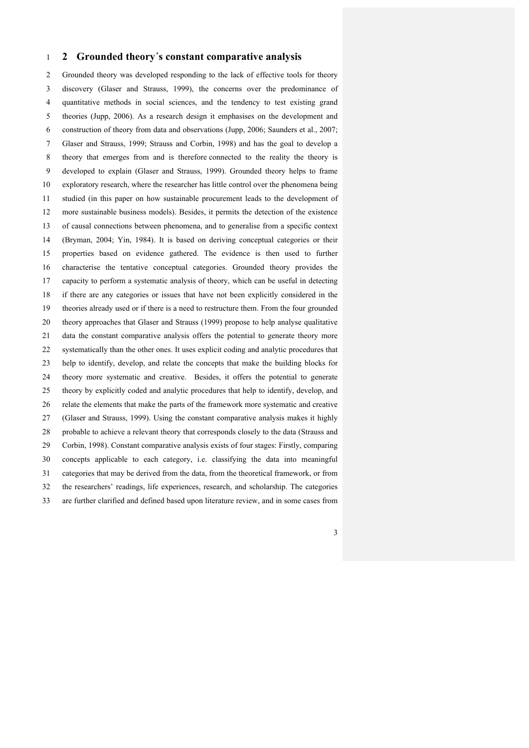## **2 Grounded theory´s constant comparative analysis**

 Grounded theory was developed responding to the lack of effective tools for theory discovery (Glaser and Strauss, 1999), the concerns over the predominance of quantitative methods in social sciences, and the tendency to test existing grand theories (Jupp, 2006). As a research design it emphasises on the development and construction of theory from data and observations (Jupp, 2006; Saunders et al., 2007; Glaser and Strauss, 1999; Strauss and Corbin, 1998) and has the goal to develop a theory that emerges from and is therefore connected to the reality the theory is developed to explain (Glaser and Strauss, 1999). Grounded theory helps to frame exploratory research, where the researcher has little control over the phenomena being studied (in this paper on how sustainable procurement leads to the development of more sustainable business models). Besides, it permits the detection of the existence of causal connections between phenomena, and to generalise from a specific context (Bryman, 2004; Yin, 1984). It is based on deriving conceptual categories or their properties based on evidence gathered. The evidence is then used to further characterise the tentative conceptual categories. Grounded theory provides the capacity to perform a systematic analysis of theory, which can be useful in detecting if there are any categories or issues that have not been explicitly considered in the theories already used or if there is a need to restructure them. From the four grounded theory approaches that Glaser and Strauss (1999) propose to help analyse qualitative data the constant comparative analysis offers the potential to generate theory more systematically than the other ones. It uses explicit coding and analytic procedures that help to identify, develop, and relate the concepts that make the building blocks for theory more systematic and creative. Besides, it offers the potential to generate theory by explicitly coded and analytic procedures that help to identify, develop, and relate the elements that make the parts of the framework more systematic and creative (Glaser and Strauss, 1999). Using the constant comparative analysis makes it highly probable to achieve a relevant theory that corresponds closely to the data (Strauss and Corbin, 1998). Constant comparative analysis exists of four stages: Firstly, comparing concepts applicable to each category, i.e. classifying the data into meaningful categories that may be derived from the data, from the theoretical framework, or from the researchers' readings, life experiences, research, and scholarship. The categories are further clarified and defined based upon literature review, and in some cases from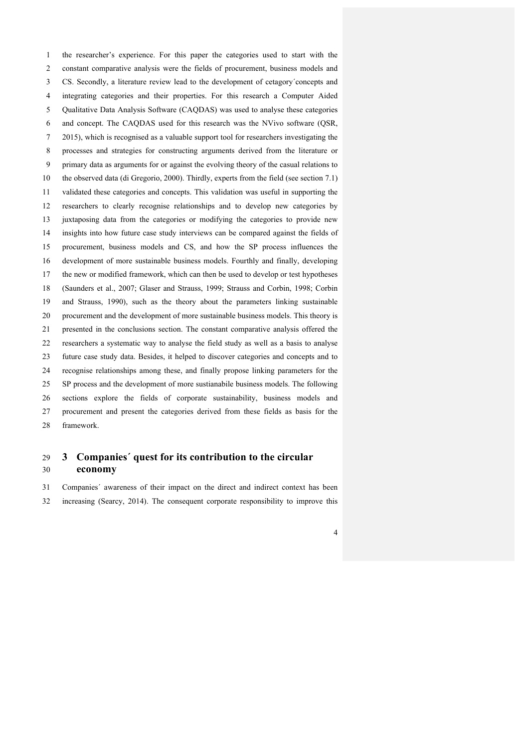the researcher's experience. For this paper the categories used to start with the constant comparative analysis were the fields of procurement, business models and CS. Secondly, a literature review lead to the development of cetagory´concepts and integrating categories and their properties. For this research a Computer Aided Qualitative Data Analysis Software (CAQDAS) was used to analyse these categories and concept. The CAQDAS used for this research was the NVivo software (QSR, 2015), which is recognised as a valuable support tool for researchers investigating the processes and strategies for constructing arguments derived from the literature or primary data as arguments for or against the evolving theory of the casual relations to the observed data (di Gregorio, 2000). Thirdly, experts from the field (see section 7.1) validated these categories and concepts. This validation was useful in supporting the researchers to clearly recognise relationships and to develop new categories by juxtaposing data from the categories or modifying the categories to provide new insights into how future case study interviews can be compared against the fields of procurement, business models and CS, and how the SP process influences the development of more sustainable business models. Fourthly and finally, developing the new or modified framework, which can then be used to develop or test hypotheses (Saunders et al., 2007; Glaser and Strauss, 1999; Strauss and Corbin, 1998; Corbin and Strauss, 1990), such as the theory about the parameters linking sustainable procurement and the development of more sustainable business models. This theory is presented in the conclusions section. The constant comparative analysis offered the researchers a systematic way to analyse the field study as well as a basis to analyse future case study data. Besides, it helped to discover categories and concepts and to recognise relationships among these, and finally propose linking parameters for the SP process and the development of more sustianabile business models. The following sections explore the fields of corporate sustainability, business models and procurement and present the categories derived from these fields as basis for the framework.

# **3 Companies´ quest for its contribution to the circular economy**

 Companies´ awareness of their impact on the direct and indirect context has been increasing (Searcy, 2014). The consequent corporate responsibility to improve this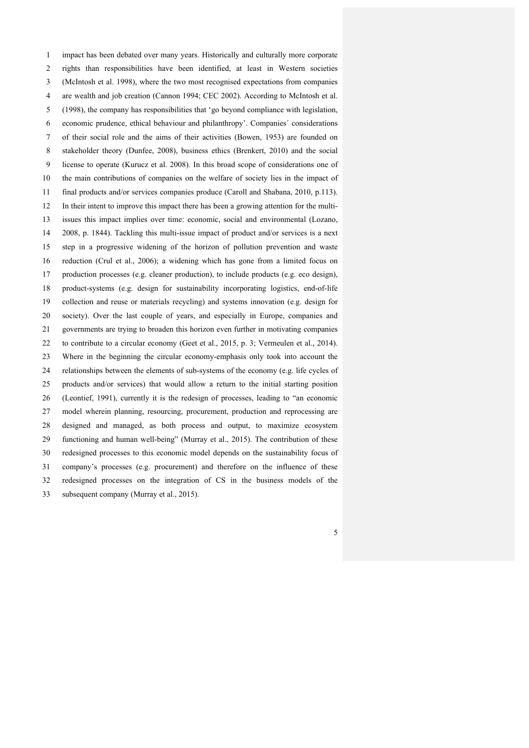impact has been debated over many years. Historically and culturally more corporate rights than responsibilities have been identified, at least in Western societies (McIntosh et al. 1998), where the two most recognised expectations from companies are wealth and job creation (Cannon 1994; CEC 2002). According to McIntosh et al. (1998), the company has responsibilities that 'go beyond compliance with legislation, economic prudence, ethical behaviour and philanthropy'. Companies´ considerations of their social role and the aims of their activities (Bowen, 1953) are founded on stakeholder theory (Dunfee, 2008), business ethics (Brenkert, 2010) and the social license to operate (Kurucz et al. 2008). In this broad scope of considerations one of the main contributions of companies on the welfare of society lies in the impact of final products and/or services companies produce (Caroll and Shabana, 2010, p.113). In their intent to improve this impact there has been a growing attention for the multi- issues this impact implies over time: economic, social and environmental (Lozano, 2008, p. 1844). Tackling this multi-issue impact of product and/or services is a next step in a progressive widening of the horizon of pollution prevention and waste reduction (Crul et al., 2006); a widening which has gone from a limited focus on production processes (e.g. cleaner production), to include products (e.g. eco design), product-systems (e.g. design for sustainability incorporating logistics, end-of-life collection and reuse or materials recycling) and systems innovation (e.g. design for society). Over the last couple of years, and especially in Europe, companies and governments are trying to broaden this horizon even further in motivating companies to contribute to a circular economy (Geet et al., 2015, p. 3; Vermeulen et al., 2014). Where in the beginning the circular economy-emphasis only took into account the relationships between the elements of sub-systems of the economy (e.g. life cycles of products and/or services) that would allow a return to the initial starting position (Leontief, 1991), currently it is the redesign of processes, leading to "an economic model wherein planning, resourcing, procurement, production and reprocessing are designed and managed, as both process and output, to maximize ecosystem functioning and human well-being" (Murray et al., 2015). The contribution of these redesigned processes to this economic model depends on the sustainability focus of company's processes (e.g. procurement) and therefore on the influence of these redesigned processes on the integration of CS in the business models of the subsequent company (Murray et al., 2015).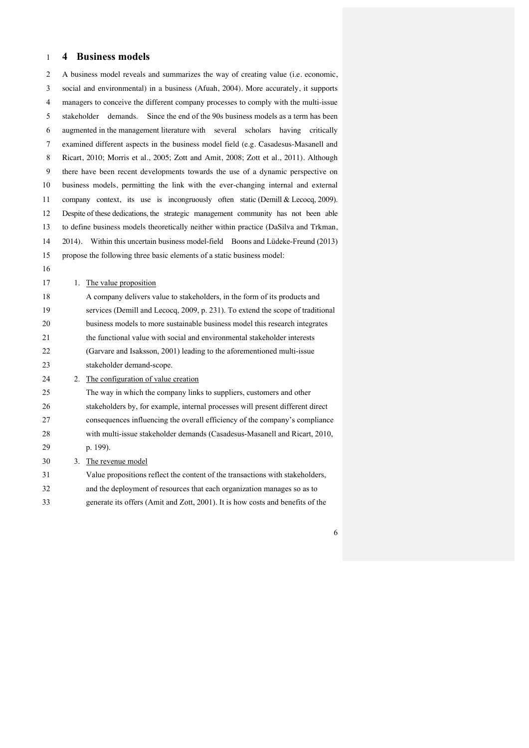# **4 Business models**

 A business model reveals and summarizes the way of creating value (i.e. economic, social and environmental) in a business (Afuah, 2004). More accurately, it supports managers to conceive the different company processes to comply with the multi-issue stakeholder demands. Since the end of the 90s business models as a term has been augmented in the management literature with several scholars having critically examined different aspects in the business model field (e.g. Casadesus-Masanell and Ricart, 2010; Morris et al., 2005; Zott and Amit, 2008; Zott et al., 2011). Although there have been recent developments towards the use of a dynamic perspective on business models, permitting the link with the ever-changing internal and external company context, its use is incongruously often static (Demill & Lecocq, 2009). Despite of these dedications, the strategic management community has not been able to define business models theoretically neither within practice (DaSilva and Trkman, 2014). Within this uncertain business model-field Boons and Lüdeke-Freund (2013) propose the following three basic elements of a static business model: 17 1. The value proposition A company delivers value to stakeholders, in the form of its products and services (Demill and Lecocq, 2009, p. 231). To extend the scope of traditional business models to more sustainable business model this research integrates the functional value with social and environmental stakeholder interests (Garvare and Isaksson, 2001) leading to the aforementioned multi-issue stakeholder demand-scope. 2. The configuration of value creation The way in which the company links to suppliers, customers and other stakeholders by, for example, internal processes will present different direct consequences influencing the overall efficiency of the company's compliance with multi-issue stakeholder demands (Casadesus-Masanell and Ricart, 2010, p. 199). 3. The revenue model Value propositions reflect the content of the transactions with stakeholders, and the deployment of resources that each organization manages so as to generate its offers (Amit and Zott, 2001). It is how costs and benefits of the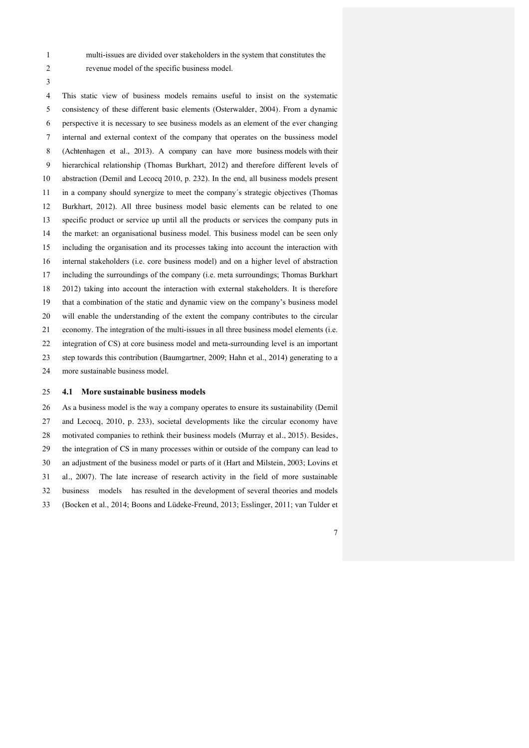- 
- 

multi-issues are divided over stakeholders in the system that constitutes the

revenue model of the specific business model.

 This static view of business models remains useful to insist on the systematic consistency of these different basic elements (Osterwalder, 2004). From a dynamic perspective it is necessary to see business models as an element of the ever changing internal and external context of the company that operates on the bussiness model (Achtenhagen et al., 2013). A company can have more business models with their hierarchical relationship (Thomas Burkhart, 2012) and therefore different levels of abstraction (Demil and Lecocq 2010, p. 232). In the end, all business models present in a company should synergize to meet the company´s strategic objectives (Thomas Burkhart, 2012). All three business model basic elements can be related to one specific product or service up until all the products or services the company puts in the market: an organisational business model. This business model can be seen only including the organisation and its processes taking into account the interaction with internal stakeholders (i.e. core business model) and on a higher level of abstraction including the surroundings of the company (i.e. meta surroundings; Thomas Burkhart 2012) taking into account the interaction with external stakeholders. It is therefore that a combination of the static and dynamic view on the company's business model will enable the understanding of the extent the company contributes to the circular economy. The integration of the multi-issues in all three business model elements (i.e. integration of CS) at core business model and meta-surrounding level is an important step towards this contribution (Baumgartner, 2009; Hahn et al., 2014) generating to a more sustainable business model.

#### **4.1 More sustainable business models**

 As a business model is the way a company operates to ensure its sustainability (Demil and Lecocq, 2010, p. 233), societal developments like the circular economy have motivated companies to rethink their business models (Murray et al., 2015). Besides, the integration of CS in many processes within or outside of the company can lead to an adjustment of the business model or parts of it (Hart and Milstein, 2003; Lovins et al., 2007). The late increase of research activity in the field of more sustainable business models has resulted in the development of several theories and models (Bocken et al., 2014; Boons and Lüdeke-Freund, 2013; Esslinger, 2011; van Tulder et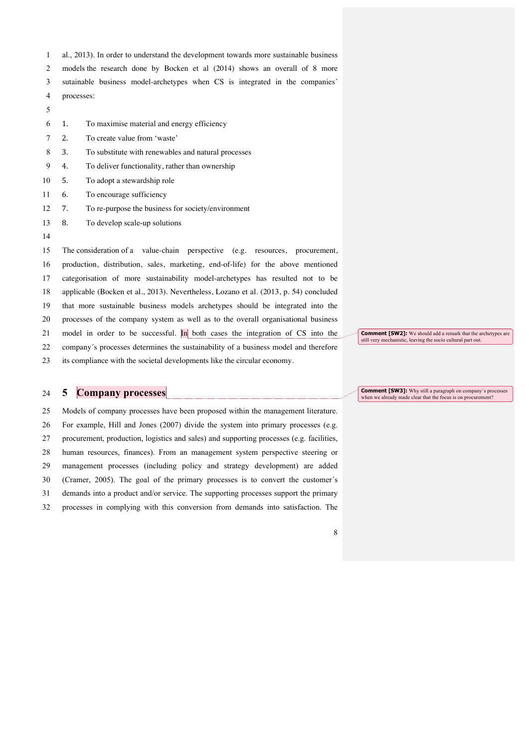- al., 2013). In order to understand the development towards more sustainable business
- models the research done by Bocken et al (2014) shows an overall of 8 more
- sutainable business model-archetypes when CS is integrated in the companies´
- processes:
- 
- 1. To maximise material and energy efficiency
- 2. To create value from 'waste'
- 3. To substitute with renewables and natural processes
- 4. To deliver functionality, rather than ownership
- 5. To adopt a stewardship role
- 6. To encourage sufficiency
- 7. To re-purpose the business for society/environment
- 8. To develop scale-up solutions
- 

 The consideration of a value-chain perspective (e.g. resources, procurement, production, distribution, sales, marketing, end-of-life) for the above mentioned categorisation of more sustainability model-archetypes has resulted not to be applicable (Bocken et al., 2013). Nevertheless, Lozano et al. (2013, p. 54) concluded that more sustainable business models archetypes should be integrated into the processes of the company system as well as to the overall organisational business 21 model in order to be successful. In both cases the integration of CS into the company´s processes determines the sustainability of a business model and therefore

its compliance with the societal developments like the circular economy.

# **5 Company processes**

 Models of company processes have been proposed within the management literature. For example, Hill and Jones (2007) divide the system into primary processes (e.g. procurement, production, logistics and sales) and supporting processes (e.g. facilities, human resources, finances). From an management system perspective steering or management processes (including policy and strategy development) are added (Cramer, 2005). The goal of the primary processes is to convert the customer´s demands into a product and/or service. The supporting processes support the primary processes in complying with this conversion from demands into satisfaction. The **Comment [SW2]:** We should add a remark that the archetypes are still very mechanistic, leaving the socio cultural part out.

**Comment [SW3]:** Why still a paragraph on company's processes when we already made clear that the focus is on procurement?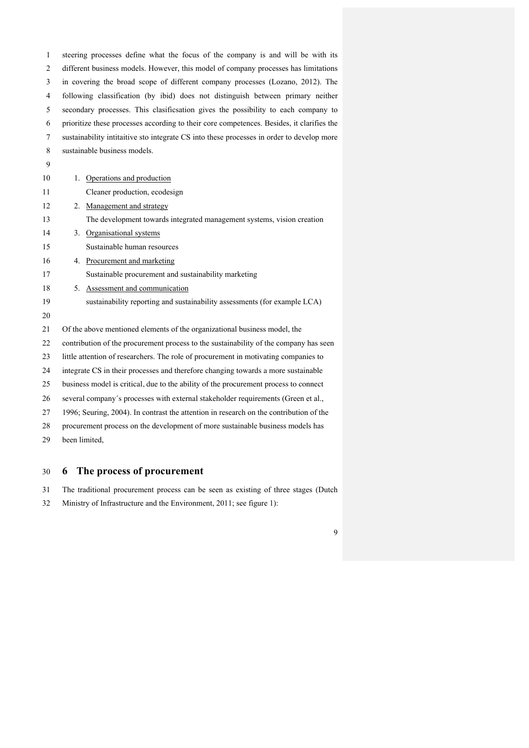steering processes define what the focus of the company is and will be with its different business models. However, this model of company processes has limitations in covering the broad scope of different company processes (Lozano, 2012). The following classification (by ibid) does not distinguish between primary neither secondary processes. This clasificsation gives the possibility to each company to prioritize these processes according to their core competences. Besides, it clarifies the sustainability intitaitive sto integrate CS into these processes in order to develop more sustainable business models. 10 1. Operations and production Cleaner production, ecodesign 2. Management and strategy The development towards integrated management systems, vision creation 3. Organisational systems Sustainable human resources 4. Procurement and marketing Sustainable procurement and sustainability marketing 5. Assessment and communication sustainability reporting and sustainability assessments (for example LCA) Of the above mentioned elements of the organizational business model, the contribution of the procurement process to the sustainability of the company has seen little attention of researchers. The role of procurement in motivating companies to integrate CS in their processes and therefore changing towards a more sustainable business model is critical, due to the ability of the procurement process to connect several company´s processes with external stakeholder requirements (Green et al., 1996; Seuring, 2004). In contrast the attention in research on the contribution of the procurement process on the development of more sustainable business models has

been limited,

# **6 The process of procurement**

The traditional procurement process can be seen as existing of three stages (Dutch

Ministry of Infrastructure and the Environment, 2011; see figure 1):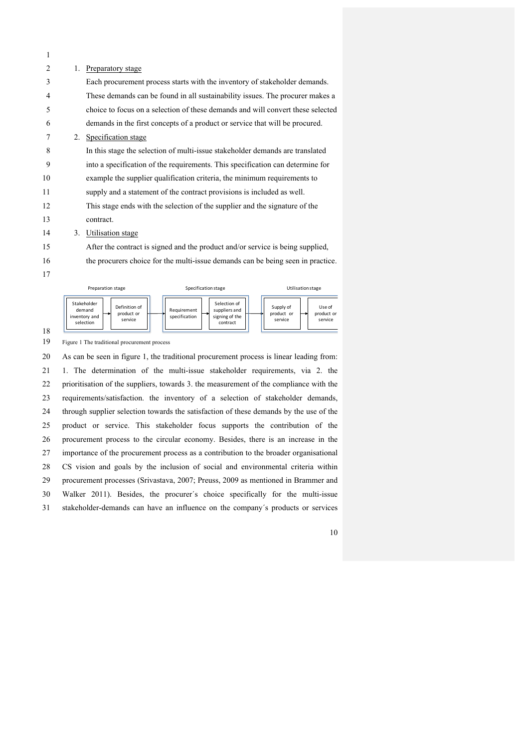| $1_{-}$ | Preparatory stage                                                               |
|---------|---------------------------------------------------------------------------------|
|         | Each procurement process starts with the inventory of stakeholder demands.      |
|         | These demands can be found in all sustainability issues. The procurer makes a   |
|         | choice to focus on a selection of these demands and will convert these selected |
|         | demands in the first concepts of a product or service that will be procured.    |
|         | 2. Specification stage                                                          |
|         | In this stage the selection of multi-issue stakeholder demands are translated   |
|         | into a specification of the requirements. This specification can determine for  |
|         | example the supplier qualification criteria, the minimum requirements to        |
|         | supply and a statement of the contract provisions is included as well.          |
|         | This stage ends with the selection of the supplier and the signature of the     |
|         | contract.                                                                       |
| 3.      | Utilisation stage                                                               |
|         | After the contract is signed and the product and/or service is being supplied,  |
|         | the procurers choice for the multi-issue demands can be being seen in practice. |
|         |                                                                                 |
|         |                                                                                 |



Figure 1 The traditional procurement process

 As can be seen in figure 1, the traditional procurement process is linear leading from: 1. The determination of the multi-issue stakeholder requirements, via 2. the prioritisation of the suppliers, towards 3. the measurement of the compliance with the requirements/satisfaction. the inventory of a selection of stakeholder demands, through supplier selection towards the satisfaction of these demands by the use of the product or service. This stakeholder focus supports the contribution of the procurement process to the circular economy. Besides, there is an increase in the importance of the procurement process as a contribution to the broader organisational CS vision and goals by the inclusion of social and environmental criteria within procurement processes (Srivastava, 2007; Preuss, 2009 as mentioned in Brammer and Walker 2011). Besides, the procurer´s choice specifically for the multi-issue stakeholder-demands can have an influence on the company´s products or services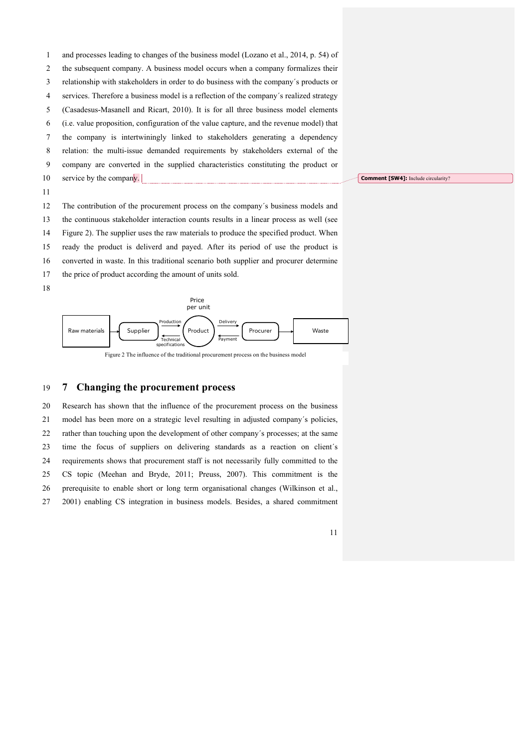and processes leading to changes of the business model (Lozano et al., 2014, p. 54) of

- the subsequent company. A business model occurs when a company formalizes their
- relationship with stakeholders in order to do business with the company´s products or
- services. Therefore a business model is a reflection of the company´s realized strategy
- (Casadesus-Masanell and Ricart, 2010). It is for all three business model elements
- (i.e. value proposition, configuration of the value capture, and the revenue model) that
- the company is intertwiningly linked to stakeholders generating a dependency
- relation: the multi-issue demanded requirements by stakeholders external of the
- company are converted in the supplied characteristics constituting the product or
- 10 service by the company.
- 

 The contribution of the procurement process on the company´s business models and the continuous stakeholder interaction counts results in a linear process as well (see Figure 2). The supplier uses the raw materials to produce the specified product. When ready the product is deliverd and payed. After its period of use the product is

- converted in waste. In this traditional scenario both supplier and procurer determine
- the price of product according the amount of units sold.





# **7 Changing the procurement process**

 Research has shown that the influence of the procurement process on the business model has been more on a strategic level resulting in adjusted company´s policies, rather than touching upon the development of other company´s processes; at the same time the focus of suppliers on delivering standards as a reaction on client´s requirements shows that procurement staff is not necessarily fully committed to the CS topic (Meehan and Bryde, 2011; Preuss, 2007). This commitment is the prerequisite to enable short or long term organisational changes (Wilkinson et al., 2001) enabling CS integration in business models. Besides, a shared commitment

**Comment [SW4]:** Include circularity?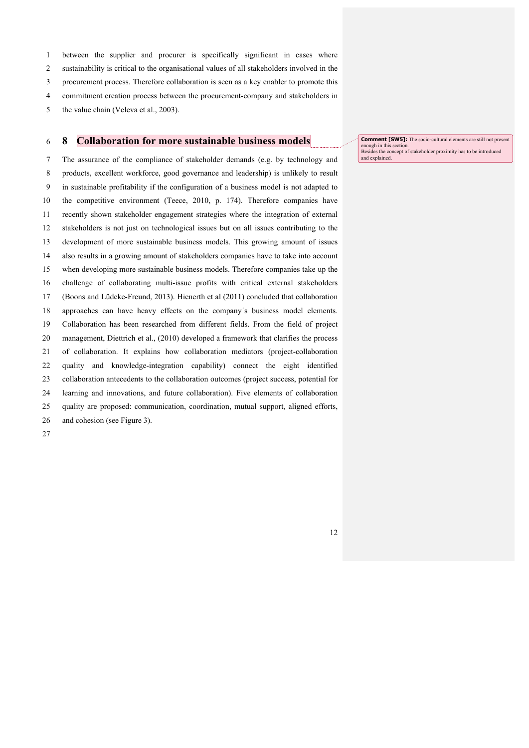between the supplier and procurer is specifically significant in cases where

sustainability is critical to the organisational values of all stakeholders involved in the

procurement process. Therefore collaboration is seen as a key enabler to promote this

commitment creation process between the procurement-company and stakeholders in

5 the value chain (Veleva et al., 2003).

## **8 Collaboration for more sustainable business models**

 The assurance of the compliance of stakeholder demands (e.g. by technology and products, excellent workforce, good governance and leadership) is unlikely to result in sustainable profitability if the configuration of a business model is not adapted to the competitive environment (Teece, 2010, p. 174). Therefore companies have recently shown stakeholder engagement strategies where the integration of external stakeholders is not just on technological issues but on all issues contributing to the development of more sustainable business models. This growing amount of issues also results in a growing amount of stakeholders companies have to take into account when developing more sustainable business models. Therefore companies take up the challenge of collaborating multi-issue profits with critical external stakeholders (Boons and Lüdeke-Freund, 2013). Hienerth et al (2011) concluded that collaboration approaches can have heavy effects on the company´s business model elements. Collaboration has been researched from different fields. From the field of project management, Diettrich et al., (2010) developed a framework that clarifies the process of collaboration. It explains how collaboration mediators (project-collaboration quality and knowledge-integration capability) connect the eight identified collaboration antecedents to the collaboration outcomes (project success, potential for learning and innovations, and future collaboration). Five elements of collaboration quality are proposed: communication, coordination, mutual support, aligned efforts, and cohesion (see Figure 3).

**Comment [SW5]:** The socio-cultural elements are still not present enough in this section Besides the concept of stakeholder proximity has to be introduced and explained.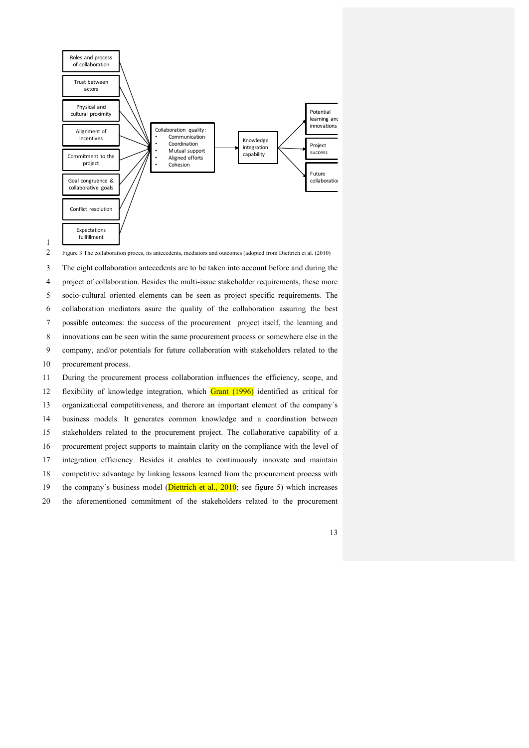

1

2 Figure 3 The collaboration proces, its antecedents, mediators and outcomes (adopted from Diettrich et al. (2010)

 The eight collaboration antecedents are to be taken into account before and during the project of collaboration. Besides the multi-issue stakeholder requirements, these more socio-cultural oriented elements can be seen as project specific requirements. The collaboration mediators asure the quality of the collaboration assuring the best possible outcomes: the success of the procurement project itself, the learning and innovations can be seen witin the same procurement process or somewhere else in the company, and/or potentials for future collaboration with stakeholders related to the procurement process. During the procurement process collaboration influences the efficiency, scope, and

 flexibility of knowledge integration, which Grant (1996) identified as critical for organizational competitiveness, and therore an important element of the company´s business models. It generates common knowledge and a coordination between stakeholders related to the procurement project. The collaborative capability of a procurement project supports to maintain clarity on the compliance with the level of integration efficiency. Besides it enables to continuously innovate and maintain competitive advantage by linking lessons learned from the procurement process with 19 the company's business model (Diettrich et al., 2010; see figure 5) which increases

20 the aforementioned commitment of the stakeholders related to the procurement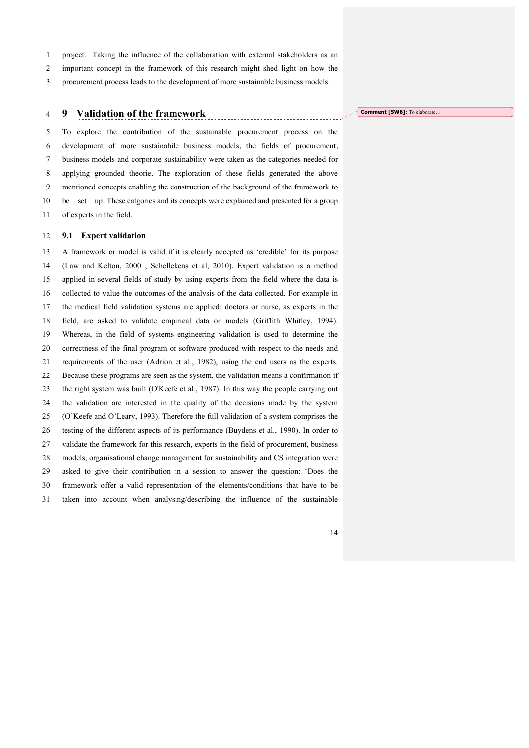project. Taking the influence of the collaboration with external stakeholders as an

important concept in the framework of this research might shed light on how the

procurement process leads to the development of more sustainable business models.

## **9 Validation of the framework**

 To explore the contribution of the sustainable procurement process on the development of more sustainabile business models, the fields of procurement, business models and corporate sustainability were taken as the categories needed for applying grounded theorie. The exploration of these fields generated the above mentioned concepts enabling the construction of the background of the framework to be set up. These catgories and its concepts were explained and presented for a group of experts in the field.

#### **9.1 Expert validation**

 A framework or model is valid if it is clearly accepted as 'credible' for its purpose (Law and Kelton, 2000 ; Schellekens et al, 2010). Expert validation is a method applied in several fields of study by using experts from the field where the data is collected to value the outcomes of the analysis of the data collected. For example in the medical field validation systems are applied: doctors or nurse, as experts in the field, are asked to validate empirical data or models (Griffith Whitley, 1994). Whereas, in the field of systems engineering validation is used to determine the correctness of the final program or software produced with respect to the needs and requirements of the user (Adrion et al., 1982), using the end users as the experts. Because these programs are seen as the system, the validation means a confirmation if the right system was built (O'Keefe et al., 1987). In this way the people carrying out the validation are interested in the quality of the decisions made by the system (O'Keefe and O'Leary, 1993). Therefore the full validation of a system comprises the testing of the different aspects of its performance (Buydens et al., 1990). In order to validate the framework for this research, experts in the field of procurement, business models, organisational change management for sustainability and CS integration were asked to give their contribution in a session to answer the question: 'Does the framework offer a valid representation of the elements/conditions that have to be taken into account when analysing/describing the influence of the sustainable

**Comment [SW6]:** To elaborate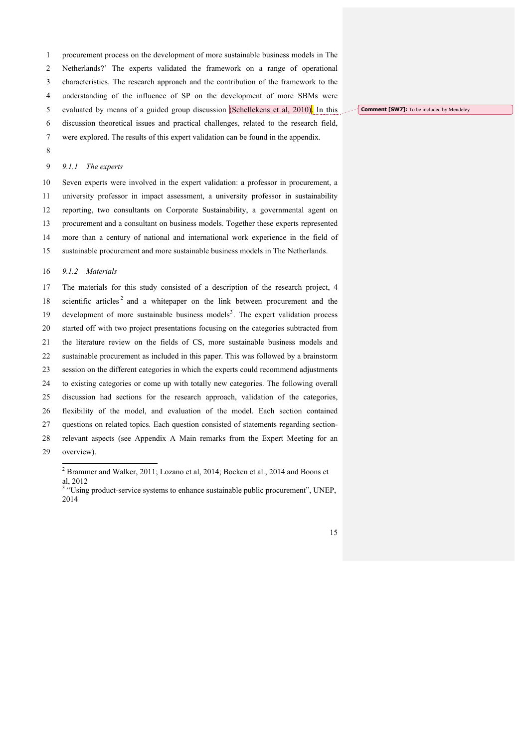procurement process on the development of more sustainable business models in The

## Netherlands?' The experts validated the framework on a range of operational

characteristics. The research approach and the contribution of the framework to the

understanding of the influence of SP on the development of more SBMs were

evaluated by means of a guided group discussion (Schellekens et al, 2010). In this

discussion theoretical issues and practical challenges, related to the research field,

- were explored. The results of this expert validation can be found in the appendix.
- 

#### *9.1.1 The experts*

 Seven experts were involved in the expert validation: a professor in procurement, a university professor in impact assessment, a university professor in sustainability reporting, two consultants on Corporate Sustainability, a governmental agent on procurement and a consultant on business models. Together these experts represented more than a century of national and international work experience in the field of sustainable procurement and more sustainable business models in The Netherlands.

#### *9.1.2 Materials*

 The materials for this study consisted of a description of the research project, 4 18 scientific articles<sup>2</sup> and a whitepaper on the link between procurement and the 19 development of more sustainable business models<sup>3</sup>. The expert validation process started off with two project presentations focusing on the categories subtracted from the literature review on the fields of CS, more sustainable business models and sustainable procurement as included in this paper. This was followed by a brainstorm session on the different categories in which the experts could recommend adjustments to existing categories or come up with totally new categories. The following overall discussion had sections for the research approach, validation of the categories, flexibility of the model, and evaluation of the model. Each section contained questions on related topics. Each question consisted of statements regarding section- relevant aspects (see Appendix A Main remarks from the Expert Meeting for an overview).

**Comment [SW7]:** To be included by Mendeley

Brammer and Walker, 2011; Lozano et al, 2014; Bocken et al., 2014 and Boons et

al, 2012<br><sup>3</sup> "Using product-service systems to enhance sustainable public procurement", UNEP,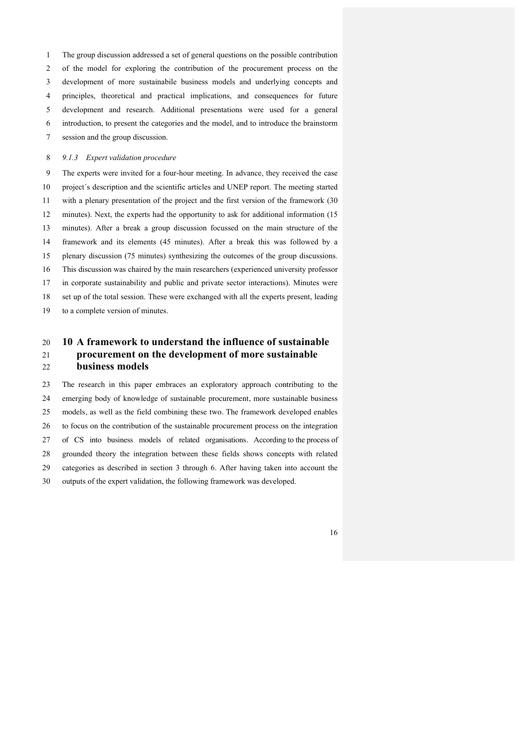The group discussion addressed a set of general questions on the possible contribution

of the model for exploring the contribution of the procurement process on the

development of more sustainabile business models and underlying concepts and

principles, theoretical and practical implications, and consequences for future

development and research. Additional presentations were used for a general

introduction, to present the categories and the model, and to introduce the brainstorm

session and the group discussion.

## *9.1.3 Expert validation procedure*

 The experts were invited for a four-hour meeting. In advance, they received the case project´s description and the scientific articles and UNEP report. The meeting started with a plenary presentation of the project and the first version of the framework (30 minutes). Next, the experts had the opportunity to ask for additional information (15 minutes). After a break a group discussion focussed on the main structure of the framework and its elements (45 minutes). After a break this was followed by a plenary discussion (75 minutes) synthesizing the outcomes of the group discussions. This discussion was chaired by the main researchers (experienced university professor in corporate sustainability and public and private sector interactions). Minutes were set up of the total session. These were exchanged with all the experts present, leading to a complete version of minutes.

# **10 A framework to understand the influence of sustainable procurement on the development of more sustainable business models**

 The research in this paper embraces an exploratory approach contributing to the emerging body of knowledge of sustainable procurement, more sustainable business models, as well as the field combining these two. The framework developed enables to focus on the contribution of the sustainable procurement process on the integration of CS into business models of related organisations. According to the process of grounded theory the integration between these fields shows concepts with related categories as described in section 3 through 6. After having taken into account the outputs of the expert validation, the following framework was developed.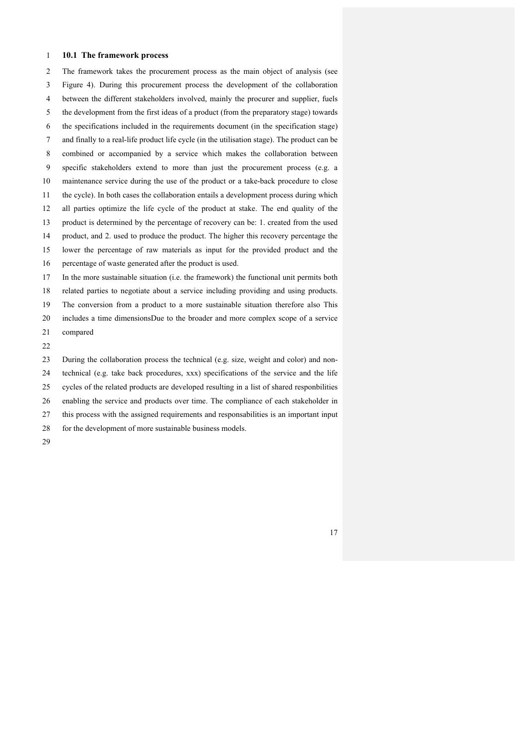### **10.1 The framework process**

 The framework takes the procurement process as the main object of analysis (see Figure 4). During this procurement process the development of the collaboration between the different stakeholders involved, mainly the procurer and supplier, fuels the development from the first ideas of a product (from the preparatory stage) towards the specifications included in the requirements document (in the specification stage) and finally to a real-life product life cycle (in the utilisation stage). The product can be combined or accompanied by a service which makes the collaboration between specific stakeholders extend to more than just the procurement process (e.g. a maintenance service during the use of the product or a take-back procedure to close the cycle). In both cases the collaboration entails a development process during which all parties optimize the life cycle of the product at stake. The end quality of the product is determined by the percentage of recovery can be: 1. created from the used product, and 2. used to produce the product. The higher this recovery percentage the lower the percentage of raw materials as input for the provided product and the percentage of waste generated after the product is used. In the more sustainable situation (i.e. the framework) the functional unit permits both related parties to negotiate about a service including providing and using products. The conversion from a product to a more sustainable situation therefore also This

includes a time dimensionsDue to the broader and more complex scope of a service

compared

 During the collaboration process the technical (e.g. size, weight and color) and non-technical (e.g. take back procedures, xxx) specifications of the service and the life

cycles of the related products are developed resulting in a list of shared responbilities

enabling the service and products over time. The compliance of each stakeholder in

this process with the assigned requirements and responsabilities is an important input

- 28 for the development of more sustainable business models.
-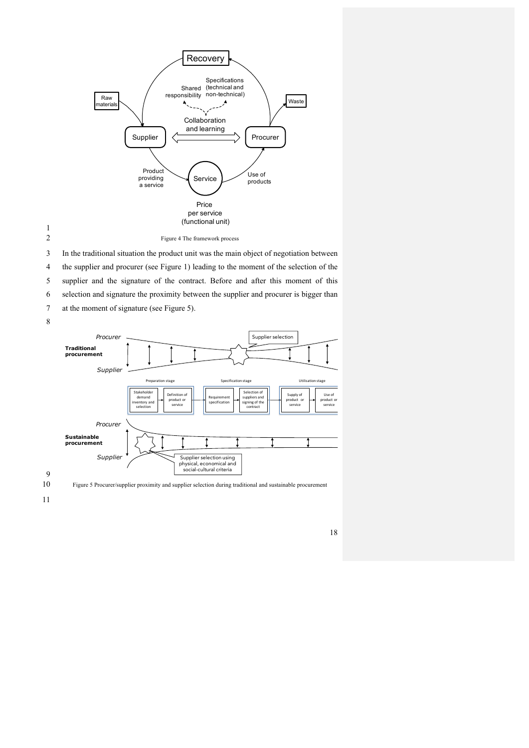

1

2 Figure 4 The framework process

3 In the traditional situation the product unit was the main object of negotiation between

4 the supplier and procurer (see Figure 1) leading to the moment of the selection of the

5 supplier and the signature of the contract. Before and after this moment of this

6 selection and signature the proximity between the supplier and procurer is bigger than

7 at the moment of signature (see Figure 5).





9

10 Figure 5 Procurer/supplier proximity and supplier selection during traditional and sustainable procurement

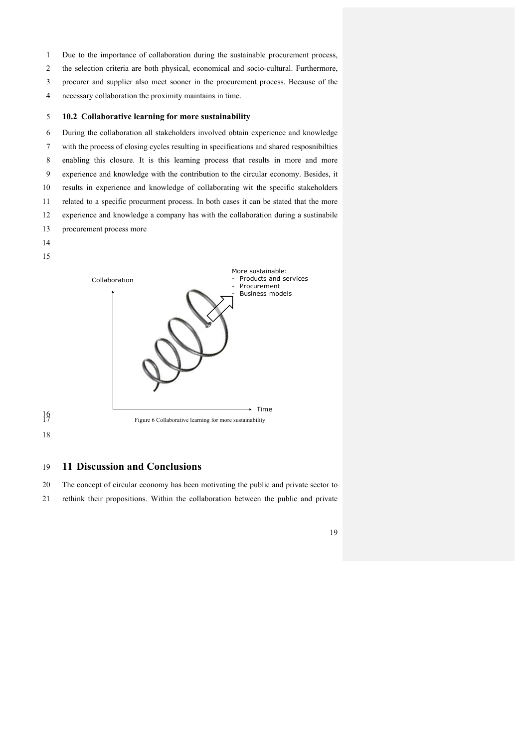- Due to the importance of collaboration during the sustainable procurement process,
- the selection criteria are both physical, economical and socio-cultural. Furthermore,
- procurer and supplier also meet sooner in the procurement process. Because of the
- necessary collaboration the proximity maintains in time.

#### **10.2 Collaborative learning for more sustainability**

 During the collaboration all stakeholders involved obtain experience and knowledge with the process of closing cycles resulting in specifications and shared resposnibilties enabling this closure. It is this learning process that results in more and more experience and knowledge with the contribution to the circular economy. Besides, it results in experience and knowledge of collaborating wit the specific stakeholders related to a specific procurment process. In both cases it can be stated that the more experience and knowledge a company has with the collaboration during a sustinabile procurement process more







## **11 Discussion and Conclusions**

 The concept of circular economy has been motivating the public and private sector to rethink their propositions. Within the collaboration between the public and private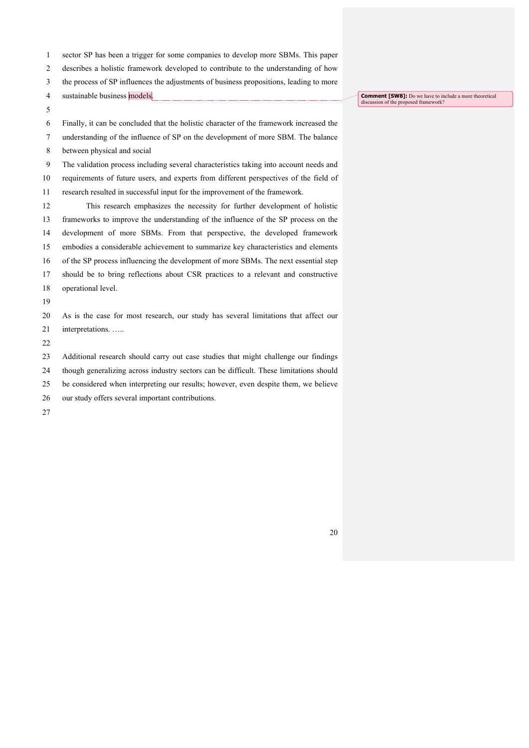- sector SP has been a trigger for some companies to develop more SBMs. This paper
- describes a holistic framework developed to contribute to the understanding of how
- the process of SP influences the adjustments of business propositions, leading to more
- sustainable business models.
- 

Finally, it can be concluded that the holistic character of the framework increased the

- understanding of the influence of SP on the development of more SBM. The balance
- between physical and social
- The validation process including several characteristics taking into account needs and
- requirements of future users, and experts from different perspectives of the field of
- research resulted in successful input for the improvement of the framework.
- This research emphasizes the necessity for further development of holistic frameworks to improve the understanding of the influence of the SP process on the development of more SBMs. From that perspective, the developed framework embodies a considerable achievement to summarize key characteristics and elements of the SP process influencing the development of more SBMs. The next essential step should be to bring reflections about CSR practices to a relevant and constructive operational level.
- As is the case for most research, our study has several limitations that affect our interpretations. …..
- 

Additional research should carry out case studies that might challenge our findings

- though generalizing across industry sectors can be difficult. These limitations should
- be considered when interpreting our results; however, even despite them, we believe
- our study offers several important contributions.
- 

**Comment [SW8]:** Do we have to include a more theoretical discussion of the proposed framework?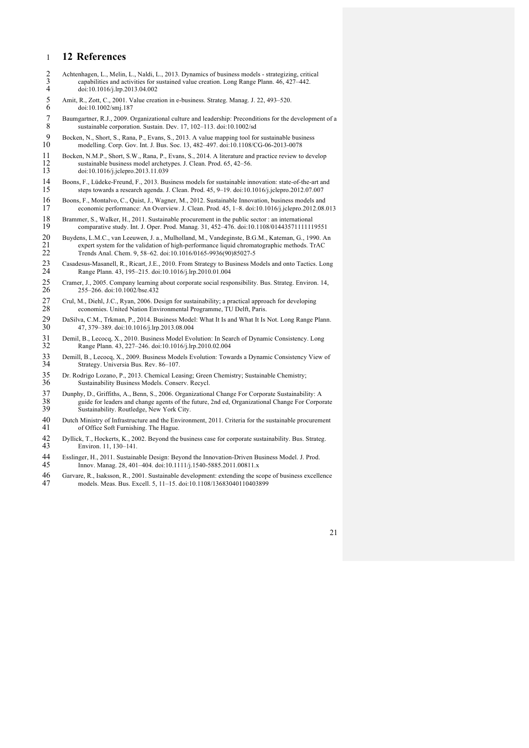# 1 **12 References**

- 2 Achtenhagen, L., Melin, L., Naldi, L., 2013. Dynamics of business models strategizing, critical capabilities and activities for sustained value creation. Long Range Plann. 46, 427–442. 3 capabilities and activities for sustained value creation. Long Range Plann.  $46, 427-442$ .<br>4 doi:10.1016/j.lrp.2013.04.002 4 doi:10.1016/j.lrp.2013.04.002
- 5 Amit, R., Zott, C., 2001. Value creation in e-business. Strateg. Manag. J. 22, 493–520.<br>6 doi:10.1002/smi.187 6 doi:10.1002/smj.187
- 7 Baumgartner, R.J., 2009. Organizational culture and leadership: Preconditions for the development of a sustainable corporation. Sustain. Dev. 17, 102-113. doi:10.1002/sd
- 9 Bocken, N., Short, S., Rana, P., Evans, S., 2013. A value mapping tool for sustainable business<br>10 modelling Corp Gov Int J Bus Soc. 13 482–497 doi:10 1108/CG-06-2013-0078 10 modelling. Corp. Gov. Int. J. Bus. Soc. 13, 482–497. doi:10.1108/CG-06-2013-0078
- 11 Bocken, N.M.P., Short, S.W., Rana, P., Evans, S., 2014. A literature and practice review to develop 12 sustainable business model archetypes. J. Clean. Prod. 65, 42–56.<br>13 doi:10.1016/i iclento 2013.11.039 13 doi:10.1016/j.jclepro.2013.11.039
- 14 Boons, F., Lüdeke-Freund, F., 2013. Business models for sustainable innovation: state-of-the-art and<br>15 steps towards a research agenda J. Clean, Prod. 45, 9–19, doi:10.1016/i iclepro. 2012.07.007 15 steps towards a research agenda. J. Clean. Prod. 45, 9–19. doi:10.1016/j.jclepro.2012.07.007
- 16 Boons, F., Montalvo, C., Quist, J., Wagner, M., 2012. Sustainable Innovation, business models and<br>17 economic performance: An Overview J. Clean, Prod. 45, 1–8, doi:10.1016/i iclento. 2012.08 economic performance: An Overview. J. Clean. Prod. 45, 1-8. doi:10.1016/j.jclepro.2012.08.013
- 18 Brammer, S., Walker, H., 2011. Sustainable procurement in the public sector : an international 19 comparative study. Int. J. Oper. Prod. Manag. 31, 452–476. doi:10.1108/0144357111111 19 comparative study. Int. J. Oper. Prod. Manag. 31, 452–476. doi:10.1108/01443571111119551
- 20 Buydens, L.M.C., van Leeuwen, J. a., Mulholland, M., Vandeginste, B.G.M., Kateman, G., 1990. An expert system for the validation of high-performance liquid chromatographic methods. TrAC 21 expert system for the validation of high-performance liquid chromatographic methods. TrAC<br>22 Trends Anal. Chem. 9, 58–62. doi:10.1016/0165-9936(90)85027-5 22 Trends Anal. Chem. 9, 58–62. doi:10.1016/0165-9936(90)85027-5
- 23 Casadesus-Masanell, R., Ricart, J.E., 2010. From Strategy to Business Models and onto Tactics. Long 24 Range Plann. 43, 195–215. doi:10.1016/j.lrp.2010.01.004
- 25 Cramer, J., 2005. Company learning about corporate social responsibility. Bus. Strateg. Environ. 14, 26 255–266. doi:10.1002/bse.432
- 27 Crul, M., Diehl, J.C., Ryan, 2006. Design for sustainability; a practical approach for developing economies. United Nation Environmental Programme, TU Delft, Paris. economies. United Nation Environmental Programme, TU Delft, Paris
- 29 DaSilva, C.M., Trkman, P., 2014. Business Model: What It Is and What It Is Not. Long Range Plann.<br>30 47 379–389 doi:10.1016/i Irp 2013 08:004 30 47, 379–389. doi:10.1016/j.lrp.2013.08.004
- 31 Demil, B., Lecocq, X., 2010. Business Model Evolution: In Search of Dynamic Consistency. Long<br>32 Range Plann 43 227–246 doi:10.1016/i Irp 2010.02.004 32 Range Plann. 43, 227–246. doi:10.1016/j.lrp.2010.02.004
- 33 Demill, B., Lecocq, X., 2009. Business Models Evolution: Towards a Dynamic Consistency View of Strategy. Universia Bus. Rev. 86-107.
- 35 Dr. Rodrigo Lozano, P., 2013. Chemical Leasing; Green Chemistry; Sustainable Chemistry; Sustainability Business Models. Conserv. Recycl.
- 37 Dunphy, D., Griffiths, A., Benn, S., 2006. Organizational Change For Corporate Sustainability: A<br>38 guide for leaders and change agents of the future, 2nd ed, Organizational Change For Corpo 38 guide for leaders and change agents of the future, 2nd ed, Organizational Change For Corporate Sustainability. Routledge, New York City.
- 40 Dutch Ministry of Infrastructure and the Environment, 2011. Criteria for the sustainable procurement 41 of Office Soft Furnishing. The Hague.
- 42 Dyllick, T., Hockerts, K., 2002. Beyond the business case for corporate sustainability. Bus. Strateg. 43 Environ. 11, 130–141.
- 44 Esslinger, H., 2011. Sustainable Design: Beyond the Innovation-Driven Business Model. J. Prod. 45 Innov. Manag. 28, 401–404. doi:10.1111/j.1540-5885.2011.00811.x
- 46 Garvare, R., Isaksson, R., 2001. Sustainable development: extending the scope of business excellence models. Meas. Bus. Excell. 5, 11-15. doi:10.1108/13683040110403899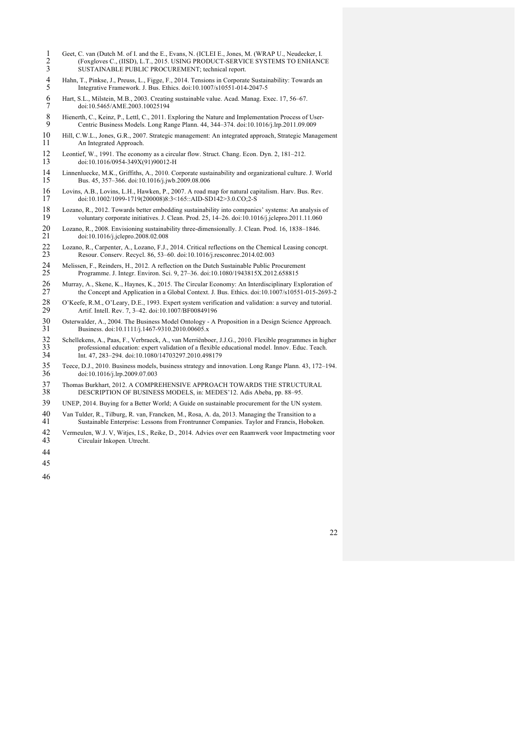- 1 Geet, C. van (Dutch M. of I. and the E., Evans, N. (ICLEI E., Jones, M. (WRAP U., Neudecker, I. (Foxgloves C., (IISD), L.T., 2015. USING PRODUCT-SERVICE SYSTEMS TO ENHANG SUSTAINABLE PUBLIC PROCUREMENT; technical report. (Foxgloves C., (IISD), L.T., 2015. USING PRODUCT-SERVICE SYSTEMS TO ENHANCE SUSTAINABLE PUBLIC PROCUREMENT; technical report.
- Hahn, T., Pinkse, J., Preuss, L., Figge, F., 2014. Tensions in Corporate Sustainability: Towards an Integrative Framework. J. Bus. Ethics. doi:10.1007/s10551-014-2047-5
- Hart, S.L., Milstein, M.B., 2003. Creating sustainable value. Acad. Manag. Exec. 17, 56–67. doi:10.5465/AME.2003.10025194
- 8 Hienerth, C., Keinz, P., Lettl, C., 2011. Exploring the Nature and Implementation Process of User-<br>9 Centric Business Models Long Range Plann 44, 344–374 doi:10.1016/i ltp 2011.09.009 Centric Business Models. Long Range Plann. 44, 344–374. doi:10.1016/j.lrp.2011.09.009
- Hill, C.W.L., Jones, G.R., 2007. Strategic management: An integrated approach, Strategic Management An Integrated Approach.
- 12 Leontief, W., 1991. The economy as a circular flow. Struct. Chang. Econ. Dyn. 2, 181–212.<br>13 doi:10.1016/0954-349X(91)90012-H doi:10.1016/0954-349X(91)90012-H
- Linnenluecke, M.K., Griffiths, A., 2010. Corporate sustainability and organizational culture. J. World Bus. 45, 357–366. doi:10.1016/j.jwb.2009.08.006
- 16 Lovins, A.B., Lovins, L.H., Hawken, P., 2007. A road map for natural capitalism. Harv. Bus. Rev.<br>17 doi:10.1002/1099-1719(200008)8:3<165::AID-SD142>3.0 CO:2-S doi:10.1002/1099-1719(200008)8:3<165::AID-SD142>3.0.CO;2-S
- 18 Lozano, R., 2012. Towards better embedding sustainability into companies' systems: An analysis of voluntary corporate initiatives. J. Clean. Prod. 25, 14–26. doi:10.1016/i.jclepro.2011.11.060 voluntary corporate initiatives. J. Clean. Prod. 25, 14-26. doi:10.1016/j.jclepro.2011.11.060
- Lozano, R., 2008. Envisioning sustainability three-dimensionally. J. Clean. Prod. 16, 1838–1846. doi:10.1016/j.jclepro.2008.02.008
- 22 Lozano, R., Carpenter, A., Lozano, F.J., 2014. Critical reflections on the Chemical Leasing concept.<br>23 Resour. Conserv. Recycl. 86, 53–60. doi:10.1016/j.resconrec.2014.02.003 Resour. Conserv. Recycl. 86, 53–60. doi:10.1016/j.resconrec.2014.02.003
- 24 Melissen, F., Reinders, H., 2012. A reflection on the Dutch Sustainable Public Procurement<br>25 Programme. J. Integr. Environ. Sci. 9, 27–36. doi:10.1080/1943815X.2012.658815 Programme. J. Integr. Environ. Sci. 9, 27–36. doi:10.1080/1943815X.2012.658815
- 26 Murray, A., Skene, K., Haynes, K., 2015. The Circular Economy: An Interdisciplinary Exploration of the Concept and Application in a Global Context. J. Bus. Ethics. doi:10.1007/s10551-015-2693the Concept and Application in a Global Context. J. Bus. Ethics. doi:10.1007/s10551-015-2693-2
- 28 O'Keefe, R.M., O'Leary, D.E., 1993. Expert system verification and validation: a survey and tutorial.<br>29 Artif. Intell. Rev. 7. 3–42. doi:10.1007/BF00849196 Artif. Intell. Rev. 7, 3–42. doi:10.1007/BF00849196
- Osterwalder, A., 2004. The Business Model Ontology A Proposition in a Design Science Approach. Business. doi:10.1111/j.1467-9310.2010.00605.x
- Schellekens, A., Paas, F., Verbraeck, A., van Merriënboer, J.J.G., 2010. Flexible programmes in higher 33 professional education: expert validation of a flexible educational model. Innov. Educ. Teach.<br>34 Int. 47, 283–294. doi:10.1080/14703297.2010.498179 Int. 47, 283–294. doi:10.1080/14703297.2010.498179
- Teece, D.J., 2010. Business models, business strategy and innovation. Long Range Plann. 43, 172–194. doi:10.1016/j.lrp.2009.07.003
- 37 Thomas Burkhart, 2012. A COMPREHENSIVE APPROACH TOWARDS THE STRUCTURAL 38 DESCRIPTION OF BUSINESS MODELS, in: MEDES'12. Adis Abeba, pp. 88–95. DESCRIPTION OF BUSINESS MODELS, in: MEDES'12. Adis Abeba, pp. 88–95.
- UNEP, 2014. Buying for a Better World; A Guide on sustainable procurement for the UN system.
- 40 Van Tulder, R., Tilburg, R. van, Francken, M., Rosa, A. da, 2013. Managing the Transition to a<br>41 Sustainable Enterprise: Lessons from Frontrunner Companies. Taylor and Francis. Hoboke
- Sustainable Enterprise: Lessons from Frontrunner Companies. Taylor and Francis, Hoboken.
- Vermeulen, W.J. V, Witjes, I.S., Reike, D., 2014. Advies over een Raamwerk voor Impactmeting voor Circulair Inkopen. Utrecht.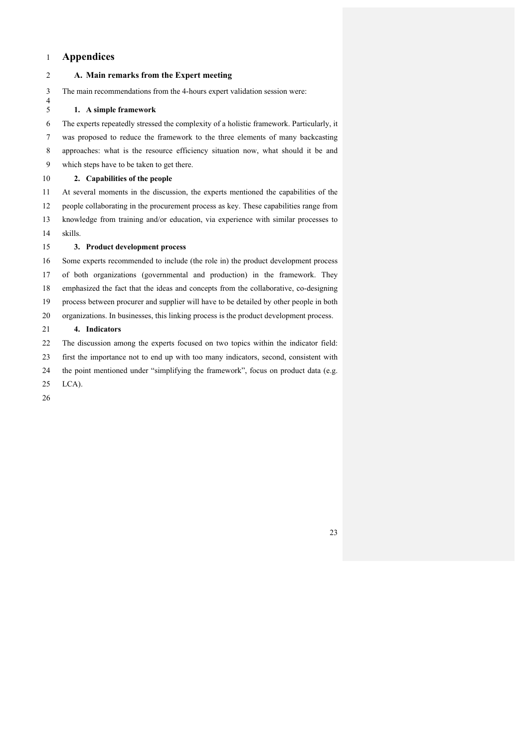## **Appendices**

**A. Main remarks from the Expert meeting**

 The main recommendations from the 4-hours expert validation session were: 

## **1. A simple framework**

 The experts repeatedly stressed the complexity of a holistic framework. Particularly, it was proposed to reduce the framework to the three elements of many backcasting approaches: what is the resource efficiency situation now, what should it be and which steps have to be taken to get there.

## **2. Capabilities of the people**

 At several moments in the discussion, the experts mentioned the capabilities of the people collaborating in the procurement process as key. These capabilities range from knowledge from training and/or education, via experience with similar processes to

## skills.

## **3. Product development process**

 Some experts recommended to include (the role in) the product development process of both organizations (governmental and production) in the framework. They

emphasized the fact that the ideas and concepts from the collaborative, co-designing

process between procurer and supplier will have to be detailed by other people in both

organizations. In businesses, this linking process is the product development process.

## **4. Indicators**

The discussion among the experts focused on two topics within the indicator field:

first the importance not to end up with too many indicators, second, consistent with

the point mentioned under "simplifying the framework", focus on product data (e.g.

- LCA).
-